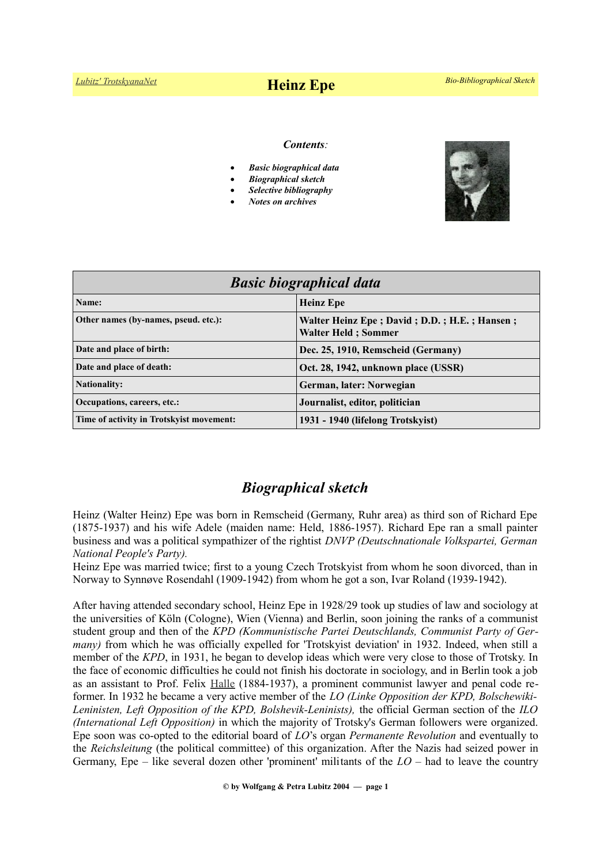# *[Lubitz' TrotskyanaNet](https://www.trotskyana.net/)* **Heinz Epe** *Bio-Bibliographical Sketch*

#### *Contents:*

- *Basic biographical data*
- *Biographical sketch*
- *Selective bibliography*
- *Notes on archives*



| <b>Basic biographical data</b>           |                                                                             |
|------------------------------------------|-----------------------------------------------------------------------------|
| Name:                                    | <b>Heinz Epe</b>                                                            |
| Other names (by-names, pseud. etc.):     | Walter Heinz Epe; David; D.D.; H.E.; Hansen;<br><b>Walter Held : Sommer</b> |
| Date and place of birth:                 | Dec. 25, 1910, Remscheid (Germany)                                          |
| Date and place of death:                 | Oct. 28, 1942, unknown place (USSR)                                         |
| <b>Nationality:</b>                      | German, later: Norwegian                                                    |
| Occupations, careers, etc.:              | Journalist, editor, politician                                              |
| Time of activity in Trotskyist movement: | 1931 - 1940 (lifelong Trotskyist)                                           |

### *Biographical sketch*

Heinz (Walter Heinz) Epe was born in Remscheid (Germany, Ruhr area) as third son of Richard Epe (1875-1937) and his wife Adele (maiden name: Held, 1886-1957). Richard Epe ran a small painter business and was a political sympathizer of the rightist *DNVP (Deutschnationale Volkspartei, German National People's Party).*

Heinz Epe was married twice; first to a young Czech Trotskyist from whom he soon divorced, than in Norway to Synnøve Rosendahl (1909-1942) from whom he got a son, Ivar Roland (1939-1942).

After having attended secondary school, Heinz Epe in 1928/29 took up studies of law and sociology at the universities of Köln (Cologne), Wien (Vienna) and Berlin, soon joining the ranks of a communist student group and then of the *KPD (Kommunistische Partei Deutschlands, Communist Party of Germany)* from which he was officially expelled for 'Trotskyist deviation' in 1932. Indeed, when still a member of the *KPD*, in 1931, he began to develop ideas which were very close to those of Trotsky. In the face of economic difficulties he could not finish his doctorate in sociology, and in Berlin took a job as an assistant to Prof. Felix [Halle](https://de.wikipedia.org/wiki/Felix_Halle) (1884-1937), a prominent communist lawyer and penal code reformer. In 1932 he became a very active member of the *LO (Linke Opposition der KPD, Bolschewiki-Leninisten, Left Opposition of the KPD, Bolshevik-Leninists),* the official German section of the *ILO (International Left Opposition)* in which the majority of Trotsky's German followers were organized. Epe soon was co-opted to the editorial board of *LO*'s organ *Permanente Revolution* and eventually to the *Reichsleitung* (the political committee) of this organization. After the Nazis had seized power in Germany, Epe – like several dozen other 'prominent' militants of the *LO* – had to leave the country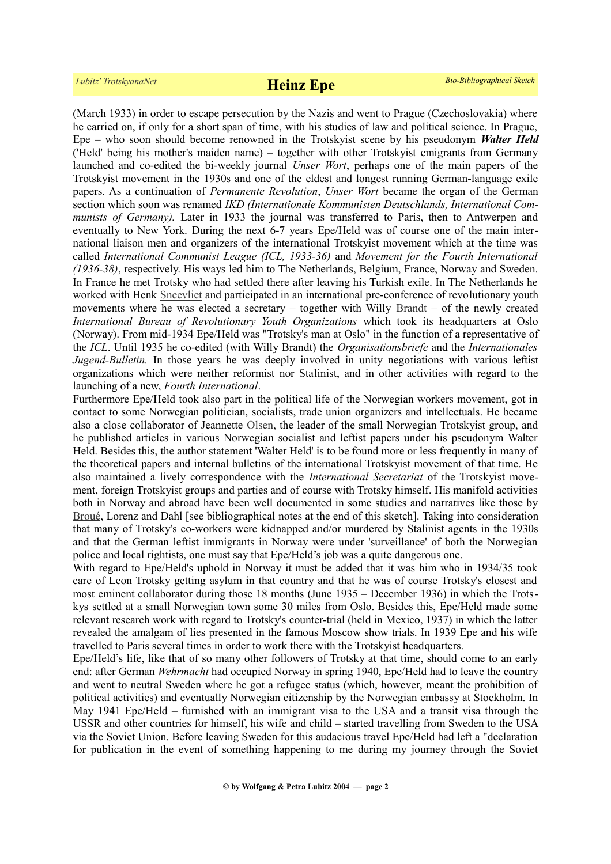(March 1933) in order to escape persecution by the Nazis and went to Prague (Czechoslovakia) where he carried on, if only for a short span of time, with his studies of law and political science. In Prague, Epe – who soon should become renowned in the Trotskyist scene by his pseudonym *Walter Held* ('Held' being his mother's maiden name) – together with other Trotskyist emigrants from Germany launched and co-edited the bi-weekly journal *Unser Wort*, perhaps one of the main papers of the Trotskyist movement in the 1930s and one of the eldest and longest running German-language exile papers. As a continuation of *Permanente Revolution*, *Unser Wort* became the organ of the German section which soon was renamed *IKD (Internationale Kommunisten Deutschlands, International Communists of Germany).* Later in 1933 the journal was transferred to Paris, then to Antwerpen and eventually to New York. During the next 6-7 years Epe/Held was of course one of the main international liaison men and organizers of the international Trotskyist movement which at the time was called *International Communist League (ICL, 1933-36)* and *Movement for the Fourth International (1936-38)*, respectively. His ways led him to The Netherlands, Belgium, France, Norway and Sweden. In France he met Trotsky who had settled there after leaving his Turkish exile. In The Netherlands he worked with Henk [Sneevliet](https://en.wikipedia.org/wiki/Henk_Sneevliet) and participated in an international pre-conference of revolutionary youth movements where he was elected a secretary – together with Willy [Brandt](https://en.wikipedia.org/wiki/Willy_Brandt) – of the newly created *International Bureau of Revolutionary Youth Organizations* which took its headquarters at Oslo (Norway). From mid-1934 Epe/Held was "Trotsky's man at Oslo" in the function of a representative of the *ICL*. Until 1935 he co-edited (with Willy Brandt) the *Organisationsbriefe* and the *Internationales Jugend-Bulletin.* In those years he was deeply involved in unity negotiations with various leftist organizations which were neither reformist nor Stalinist, and in other activities with regard to the launching of a new, *Fourth International*.

Furthermore Epe/Held took also part in the political life of the Norwegian workers movement, got in contact to some Norwegian politician, socialists, trade union organizers and intellectuals. He became also a close collaborator of Jeannette [Olsen,](https://en.wikipedia.org/wiki/Jeanette_Olsen) the leader of the small Norwegian Trotskyist group, and he published articles in various Norwegian socialist and leftist papers under his pseudonym Walter Held. Besides this, the author statement 'Walter Held' is to be found more or less frequently in many of the theoretical papers and internal bulletins of the international Trotskyist movement of that time. He also maintained a lively correspondence with the *International Secretariat* of the Trotskyist movement, foreign Trotskyist groups and parties and of course with Trotsky himself. His manifold activities both in Norway and abroad have been well documented in some studies and narratives like those by [Broué,](https://www.trotskyana.net/Trotskyists/Pierre_Broue/pierre_broue.html) Lorenz and Dahl [see bibliographical notes at the end of this sketch]. Taking into consideration that many of Trotsky's co-workers were kidnapped and/or murdered by Stalinist agents in the 1930s and that the German leftist immigrants in Norway were under 'surveillance' of both the Norwegian police and local rightists, one must say that Epe/Held's job was a quite dangerous one.

With regard to Epe/Held's uphold in Norway it must be added that it was him who in 1934/35 took care of Leon Trotsky getting asylum in that country and that he was of course Trotsky's closest and most eminent collaborator during those 18 months (June 1935 – December 1936) in which the Trotskys settled at a small Norwegian town some 30 miles from Oslo. Besides this, Epe/Held made some relevant research work with regard to Trotsky's counter-trial (held in Mexico, 1937) in which the latter revealed the amalgam of lies presented in the famous Moscow show trials. In 1939 Epe and his wife travelled to Paris several times in order to work there with the Trotskyist headquarters.

Epe/Held's life, like that of so many other followers of Trotsky at that time, should come to an early end: after German *Wehrmacht* had occupied Norway in spring 1940, Epe/Held had to leave the country and went to neutral Sweden where he got a refugee status (which, however, meant the prohibition of political activities) and eventually Norwegian citizenship by the Norwegian embassy at Stockholm. In May 1941 Epe/Held – furnished with an immigrant visa to the USA and a transit visa through the USSR and other countries for himself, his wife and child – started travelling from Sweden to the USA via the Soviet Union. Before leaving Sweden for this audacious travel Epe/Held had left a "declaration for publication in the event of something happening to me during my journey through the Soviet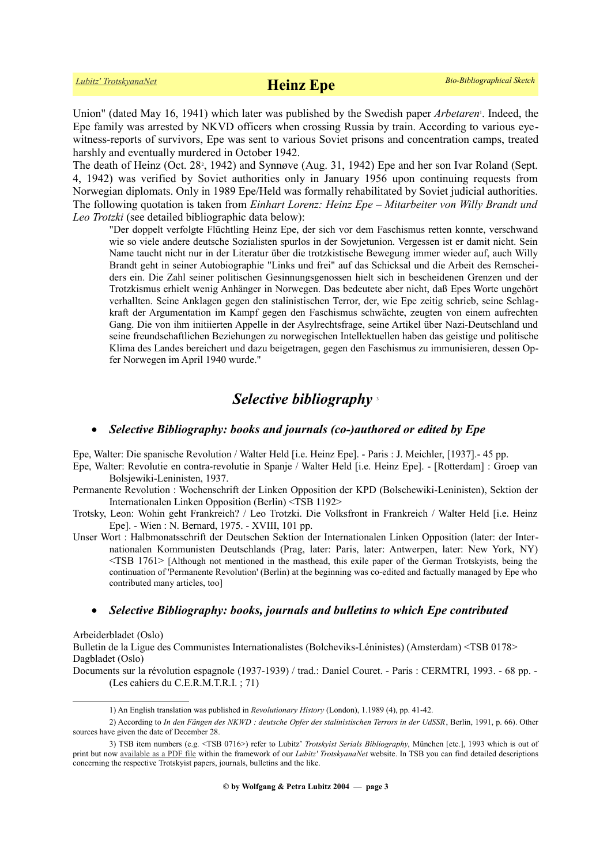U[n](#page-2-0)ion" (dated May 16, 1941) which later was published by the Swedish paper *Arbetaren*<sup>1</sup>. Indeed, the Epe family was arrested by NKVD officers when crossing Russia by train. According to various eyewitness-reports of survivors, Epe was sent to various Soviet prisons and concentration camps, treated harshly and eventually murdered in October 1942.

The death of Heinz (Oct. [2](#page-2-1)8<sup>2</sup>, 1942) and Synnøve (Aug. 31, 1942) Epe and her son Ivar Roland (Sept. 4, 1942) was verified by Soviet authorities only in January 1956 upon continuing requests from Norwegian diplomats. Only in 1989 Epe/Held was formally rehabilitated by Soviet judicial authorities. The following quotation is taken from *Einhart Lorenz: Heinz Epe – Mitarbeiter von Willy Brandt und Leo Trotzki* (see detailed bibliographic data below):

"Der doppelt verfolgte Flüchtling Heinz Epe, der sich vor dem Faschismus retten konnte, verschwand wie so viele andere deutsche Sozialisten spurlos in der Sowjetunion. Vergessen ist er damit nicht. Sein Name taucht nicht nur in der Literatur über die trotzkistische Bewegung immer wieder auf, auch Willy Brandt geht in seiner Autobiographie "Links und frei" auf das Schicksal und die Arbeit des Remscheiders ein. Die Zahl seiner politischen Gesinnungsgenossen hielt sich in bescheidenen Grenzen und der Trotzkismus erhielt wenig Anhänger in Norwegen. Das bedeutete aber nicht, daß Epes Worte ungehört verhallten. Seine Anklagen gegen den stalinistischen Terror, der, wie Epe zeitig schrieb, seine Schlagkraft der Argumentation im Kampf gegen den Faschismus schwächte, zeugten von einem aufrechten Gang. Die von ihm initiierten Appelle in der Asylrechtsfrage, seine Artikel über Nazi-Deutschland und seine freundschaftlichen Beziehungen zu norwegischen Intellektuellen haben das geistige und politische Klima des Landes bereichert und dazu beigetragen, gegen den Faschismus zu immunisieren, dessen Opfer Norwegen im April 1940 wurde."

## *Selective bibliography* [3](#page-2-2)

### *Selective Bibliography: books and journals (co-)authored or edited by Epe*

Epe, Walter: Die spanische Revolution / Walter Held [i.e. Heinz Epe]. - Paris : J. Meichler, [1937].- 45 pp.

- Epe, Walter: Revolutie en contra-revolutie in Spanje / Walter Held [i.e. Heinz Epe]. [Rotterdam] : Groep van Bolsjewiki-Leninisten, 1937.
- Permanente Revolution : Wochenschrift der Linken Opposition der KPD (Bolschewiki-Leninisten), Sektion der Internationalen Linken Opposition (Berlin) <TSB 1192>
- Trotsky, Leon: Wohin geht Frankreich? / Leo Trotzki. Die Volksfront in Frankreich / Walter Held [i.e. Heinz Epe]. - Wien : N. Bernard, 1975. - XVIII, 101 pp.
- Unser Wort : Halbmonatsschrift der Deutschen Sektion der Internationalen Linken Opposition (later: der Internationalen Kommunisten Deutschlands (Prag, later: Paris, later: Antwerpen, later: New York, NY) <TSB 1761> [Although not mentioned in the masthead, this exile paper of the German Trotskyists, being the continuation of 'Permanente Revolution' (Berlin) at the beginning was co-edited and factually managed by Epe who contributed many articles, too]

#### *Selective Bibliography: books, journals and bulletins to which Epe contributed*

Arbeiderbladet (Oslo)

Bulletin de la Ligue des Communistes Internationalistes (Bolcheviks-Léninistes) (Amsterdam) <TSB 0178> Dagbladet (Oslo)

Documents sur la révolution espagnole (1937-1939) / trad.: Daniel Couret. - Paris : CERMTRI, 1993. - 68 pp. - (Les cahiers du C.E.R.M.T.R.I. ; 71)

<span id="page-2-2"></span><span id="page-2-1"></span><span id="page-2-0"></span><sup>1)</sup> An English translation was published in *Revolutionary History* (London), 1.1989 (4), pp. 41-42.

<sup>2)</sup> According to *In den Fängen des NKWD : deutsche Opfer des stalinistischen Terrors in der UdSSR*, Berlin, 1991, p. 66). Other sources have given the date of December 28.

<sup>3)</sup> TSB item numbers (e.g. <TSB 0716>) refer to Lubitz' *Trotskyist Serials Bibliography*, München [etc.], 1993 which is out of print but now [available as a PDF file](https://www.trotskyana.net/LubitzBibliographies/Serials_Bibliography/serials_bibliography.htm#PDF) within the framework of our *Lubitz' TrotskyanaNet* website. In TSB you can find detailed descriptions concerning the respective Trotskyist papers, journals, bulletins and the like.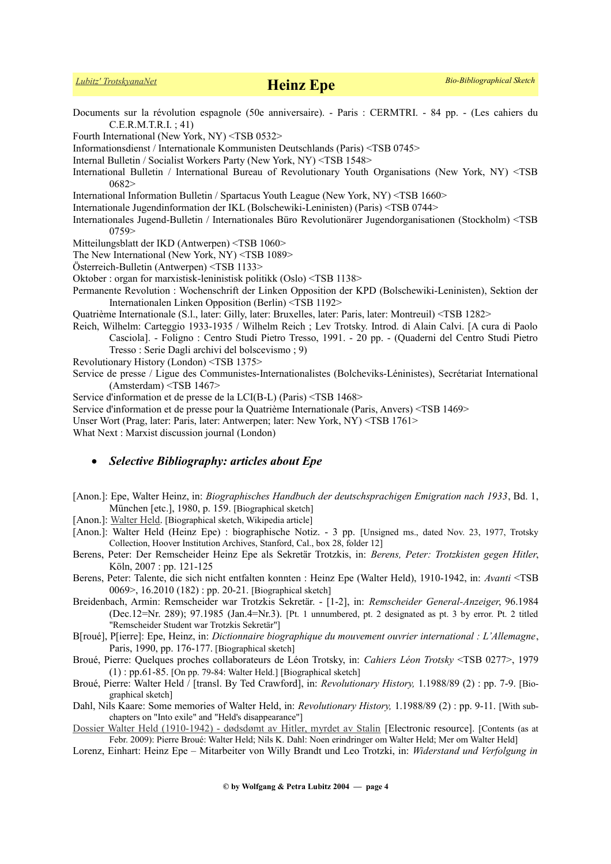### *[Lubitz' TrotskyanaNet](https://www.trotskyana.net/)* **Heinz Epe** *Bio-Bibliographical Sketch*

- Documents sur la révolution espagnole (50e anniversaire). Paris : CERMTRI. 84 pp. (Les cahiers du C.E.R.M.T.R.I. ; 41)
- Fourth International (New York, NY) <TSB 0532>

Informationsdienst / Internationale Kommunisten Deutschlands (Paris) <TSB 0745>

- Internal Bulletin / Socialist Workers Party (New York, NY) <TSB 1548>
- International Bulletin / International Bureau of Revolutionary Youth Organisations (New York, NY) <TSB 0682>

International Information Bulletin / Spartacus Youth League (New York, NY) <TSB 1660>

Internationale Jugendinformation der IKL (Bolschewiki-Leninisten) (Paris) <TSB 0744>

- Internationales Jugend-Bulletin / Internationales Büro Revolutionärer Jugendorganisationen (Stockholm) <TSB 0759>
- Mitteilungsblatt der IKD (Antwerpen) <TSB 1060>
- The New International (New York, NY) <TSB 1089>
- Österreich-Bulletin (Antwerpen) <TSB 1133>
- Oktober : organ for marxistisk-leninistisk politikk (Oslo) <TSB 1138>
- Permanente Revolution : Wochenschrift der Linken Opposition der KPD (Bolschewiki-Leninisten), Sektion der Internationalen Linken Opposition (Berlin) <TSB 1192>
- Quatrième Internationale (S.l., later: Gilly, later: Bruxelles, later: Paris, later: Montreuil) <TSB 1282>
- Reich, Wilhelm: Carteggio 1933-1935 / Wilhelm Reich ; Lev Trotsky. Introd. di Alain Calvi. [A cura di Paolo Casciola]. - Foligno : Centro Studi Pietro Tresso, 1991. - 20 pp. - (Quaderni del Centro Studi Pietro Tresso : Serie Dagli archivi del bolscevismo ; 9)
- Revolutionary History (London) <TSB 1375>
- Service de presse / Ligue des Communistes-Internationalistes (Bolcheviks-Léninistes), Secrétariat International (Amsterdam) <TSB 1467>
- Service d'information et de presse de la LCI(B-L) (Paris) <TSB 1468>
- Service d'information et de presse pour la Quatrième Internationale (Paris, Anvers) <TSB 1469>
- Unser Wort (Prag, later: Paris, later: Antwerpen; later: New York, NY) <TSB 1761>

What Next : Marxist discussion journal (London)

#### *Selective Bibliography: articles about Epe*

- [Anon.]: Epe, Walter Heinz, in: *Biographisches Handbuch der deutschsprachigen Emigration nach 1933*, Bd. 1, München [etc.], 1980, p. 159. [Biographical sketch]
- [Anon.]: [Walter Held.](https://de.wikipedia.org/wiki/Walter_Held) [Biographical sketch, Wikipedia article]
- [Anon.]: Walter Held (Heinz Epe) : biographische Notiz. 3 pp. [Unsigned ms., dated Nov. 23, 1977, Trotsky Collection, Hoover Institution Archives, Stanford, Cal., box 28, folder 12]
- Berens, Peter: Der Remscheider Heinz Epe als Sekretär Trotzkis, in: *Berens, Peter: Trotzkisten gegen Hitler*, Köln, 2007 : pp. 121-125
- Berens, Peter: Talente, die sich nicht entfalten konnten : Heinz Epe (Walter Held), 1910-1942, in: *Avanti* <TSB 0069>, 16.2010 (182) : pp. 20-21. [Biographical sketch]
- Breidenbach, Armin: Remscheider war Trotzkis Sekretär. [1-2], in: *Remscheider General-Anzeiger*, 96.1984 (Dec.12=Nr. 289); 97.1985 (Jan.4=Nr.3). [Pt. 1 unnumbered, pt. 2 designated as pt. 3 by error. Pt. 2 titled "Remscheider Student war Trotzkis Sekretär"]
- B[roué], P[ierre]: Epe, Heinz, in: *Dictionnaire biographique du mouvement ouvrier international : L'Allemagne*, Paris, 1990, pp. 176-177. [Biographical sketch]
- Broué, Pierre: Quelques proches collaborateurs de Léon Trotsky, in: *Cahiers Léon Trotsky* <TSB 0277>, 1979 (1) : pp.61-85. [On pp. 79-84: Walter Held.] [Biographical sketch]
- Broué, Pierre: Walter Held / [transl. By Ted Crawford], in: *Revolutionary History,* 1.1988/89 (2) : pp. 7-9. [Biographical sketch]
- Dahl, Nils Kaare: Some memories of Walter Held, in: *Revolutionary History,* 1.1988/89 (2) : pp. 9-11. [With subchapters on "Into exile" and "Held's disappearance"]
- [Dossier Walter Held \(1910-1942\) dødsdømt av Hitler, myrdet av Stalin](http://www.marxists.org/norsk/reference/held/index.html) [Electronic resource]. [Contents (as at Febr. 2009): Pierre Broué: Walter Held; Nils K. Dahl: Noen erindringer om Walter Held; Mer om Walter Held]
- Lorenz, Einhart: Heinz Epe Mitarbeiter von Willy Brandt und Leo Trotzki, in: *Widerstand und Verfolgung in*